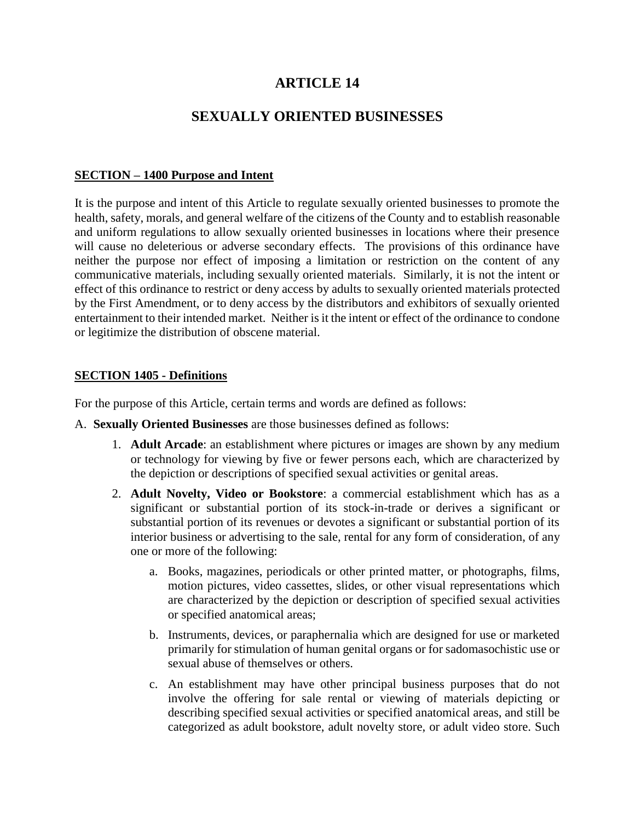# **ARTICLE 14**

## **SEXUALLY ORIENTED BUSINESSES**

### **SECTION – 1400 Purpose and Intent**

It is the purpose and intent of this Article to regulate sexually oriented businesses to promote the health, safety, morals, and general welfare of the citizens of the County and to establish reasonable and uniform regulations to allow sexually oriented businesses in locations where their presence will cause no deleterious or adverse secondary effects. The provisions of this ordinance have neither the purpose nor effect of imposing a limitation or restriction on the content of any communicative materials, including sexually oriented materials. Similarly, it is not the intent or effect of this ordinance to restrict or deny access by adults to sexually oriented materials protected by the First Amendment, or to deny access by the distributors and exhibitors of sexually oriented entertainment to their intended market. Neither is it the intent or effect of the ordinance to condone or legitimize the distribution of obscene material.

### **SECTION 1405 - Definitions**

For the purpose of this Article, certain terms and words are defined as follows:

- A. **Sexually Oriented Businesses** are those businesses defined as follows:
	- 1. **Adult Arcade**: an establishment where pictures or images are shown by any medium or technology for viewing by five or fewer persons each, which are characterized by the depiction or descriptions of specified sexual activities or genital areas.
	- 2. **Adult Novelty, Video or Bookstore**: a commercial establishment which has as a significant or substantial portion of its stock-in-trade or derives a significant or substantial portion of its revenues or devotes a significant or substantial portion of its interior business or advertising to the sale, rental for any form of consideration, of any one or more of the following:
		- a. Books, magazines, periodicals or other printed matter, or photographs, films, motion pictures, video cassettes, slides, or other visual representations which are characterized by the depiction or description of specified sexual activities or specified anatomical areas;
		- b. Instruments, devices, or paraphernalia which are designed for use or marketed primarily for stimulation of human genital organs or for sadomasochistic use or sexual abuse of themselves or others.
		- c. An establishment may have other principal business purposes that do not involve the offering for sale rental or viewing of materials depicting or describing specified sexual activities or specified anatomical areas, and still be categorized as adult bookstore, adult novelty store, or adult video store. Such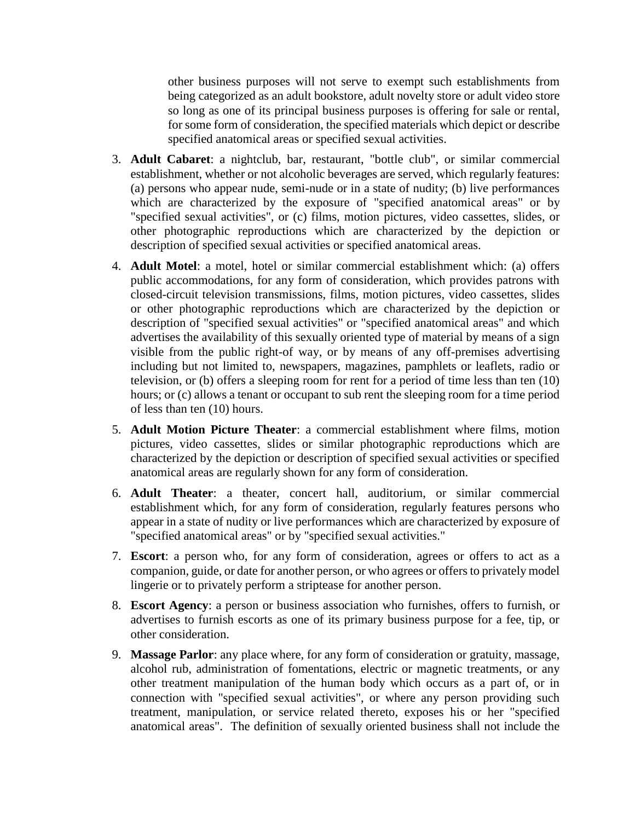other business purposes will not serve to exempt such establishments from being categorized as an adult bookstore, adult novelty store or adult video store so long as one of its principal business purposes is offering for sale or rental, for some form of consideration, the specified materials which depict or describe specified anatomical areas or specified sexual activities.

- 3. **Adult Cabaret**: a nightclub, bar, restaurant, "bottle club", or similar commercial establishment, whether or not alcoholic beverages are served, which regularly features: (a) persons who appear nude, semi-nude or in a state of nudity; (b) live performances which are characterized by the exposure of "specified anatomical areas" or by "specified sexual activities", or (c) films, motion pictures, video cassettes, slides, or other photographic reproductions which are characterized by the depiction or description of specified sexual activities or specified anatomical areas.
- 4. **Adult Motel**: a motel, hotel or similar commercial establishment which: (a) offers public accommodations, for any form of consideration, which provides patrons with closed-circuit television transmissions, films, motion pictures, video cassettes, slides or other photographic reproductions which are characterized by the depiction or description of "specified sexual activities" or "specified anatomical areas" and which advertises the availability of this sexually oriented type of material by means of a sign visible from the public right-of way, or by means of any off-premises advertising including but not limited to, newspapers, magazines, pamphlets or leaflets, radio or television, or (b) offers a sleeping room for rent for a period of time less than ten (10) hours; or (c) allows a tenant or occupant to sub rent the sleeping room for a time period of less than ten (10) hours.
- 5. **Adult Motion Picture Theater**: a commercial establishment where films, motion pictures, video cassettes, slides or similar photographic reproductions which are characterized by the depiction or description of specified sexual activities or specified anatomical areas are regularly shown for any form of consideration.
- 6. **Adult Theater**: a theater, concert hall, auditorium, or similar commercial establishment which, for any form of consideration, regularly features persons who appear in a state of nudity or live performances which are characterized by exposure of "specified anatomical areas" or by "specified sexual activities."
- 7. **Escort**: a person who, for any form of consideration, agrees or offers to act as a companion, guide, or date for another person, or who agrees or offers to privately model lingerie or to privately perform a striptease for another person.
- 8. **Escort Agency**: a person or business association who furnishes, offers to furnish, or advertises to furnish escorts as one of its primary business purpose for a fee, tip, or other consideration.
- 9. **Massage Parlor**: any place where, for any form of consideration or gratuity, massage, alcohol rub, administration of fomentations, electric or magnetic treatments, or any other treatment manipulation of the human body which occurs as a part of, or in connection with "specified sexual activities", or where any person providing such treatment, manipulation, or service related thereto, exposes his or her "specified anatomical areas". The definition of sexually oriented business shall not include the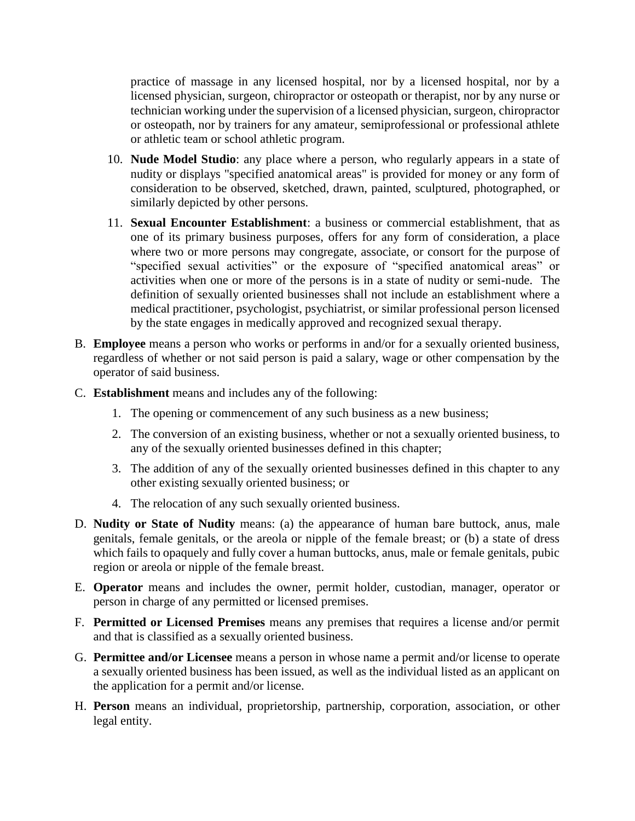practice of massage in any licensed hospital, nor by a licensed hospital, nor by a licensed physician, surgeon, chiropractor or osteopath or therapist, nor by any nurse or technician working under the supervision of a licensed physician, surgeon, chiropractor or osteopath, nor by trainers for any amateur, semiprofessional or professional athlete or athletic team or school athletic program.

- 10. **Nude Model Studio**: any place where a person, who regularly appears in a state of nudity or displays "specified anatomical areas" is provided for money or any form of consideration to be observed, sketched, drawn, painted, sculptured, photographed, or similarly depicted by other persons.
- 11. **Sexual Encounter Establishment**: a business or commercial establishment, that as one of its primary business purposes, offers for any form of consideration, a place where two or more persons may congregate, associate, or consort for the purpose of "specified sexual activities" or the exposure of "specified anatomical areas" or activities when one or more of the persons is in a state of nudity or semi-nude. The definition of sexually oriented businesses shall not include an establishment where a medical practitioner, psychologist, psychiatrist, or similar professional person licensed by the state engages in medically approved and recognized sexual therapy.
- B. **Employee** means a person who works or performs in and/or for a sexually oriented business, regardless of whether or not said person is paid a salary, wage or other compensation by the operator of said business.
- C. **Establishment** means and includes any of the following:
	- 1. The opening or commencement of any such business as a new business;
	- 2. The conversion of an existing business, whether or not a sexually oriented business, to any of the sexually oriented businesses defined in this chapter;
	- 3. The addition of any of the sexually oriented businesses defined in this chapter to any other existing sexually oriented business; or
	- 4. The relocation of any such sexually oriented business.
- D. **Nudity or State of Nudity** means: (a) the appearance of human bare buttock, anus, male genitals, female genitals, or the areola or nipple of the female breast; or (b) a state of dress which fails to opaquely and fully cover a human buttocks, anus, male or female genitals, pubic region or areola or nipple of the female breast.
- E. **Operator** means and includes the owner, permit holder, custodian, manager, operator or person in charge of any permitted or licensed premises.
- F. **Permitted or Licensed Premises** means any premises that requires a license and/or permit and that is classified as a sexually oriented business.
- G. **Permittee and/or Licensee** means a person in whose name a permit and/or license to operate a sexually oriented business has been issued, as well as the individual listed as an applicant on the application for a permit and/or license.
- H. **Person** means an individual, proprietorship, partnership, corporation, association, or other legal entity.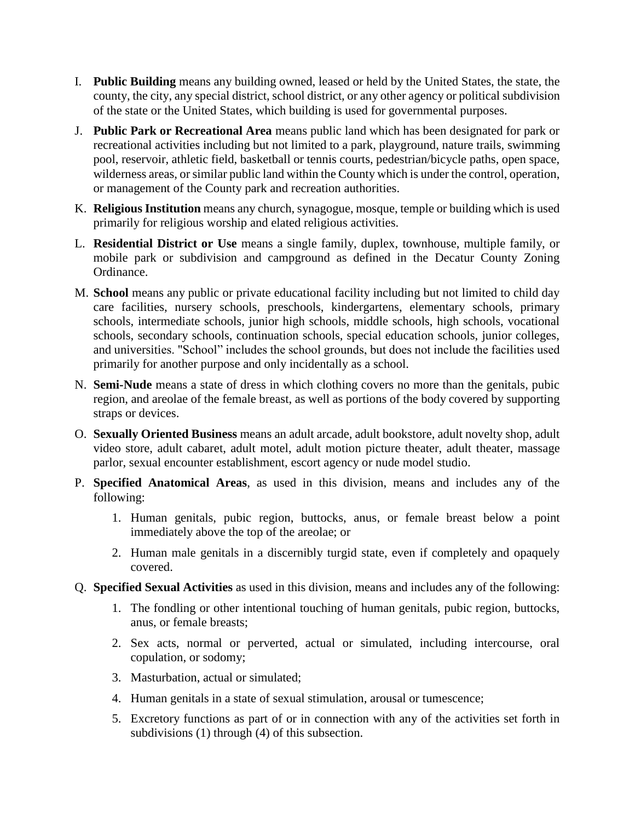- I. **Public Building** means any building owned, leased or held by the United States, the state, the county, the city, any special district, school district, or any other agency or political subdivision of the state or the United States, which building is used for governmental purposes.
- J. **Public Park or Recreational Area** means public land which has been designated for park or recreational activities including but not limited to a park, playground, nature trails, swimming pool, reservoir, athletic field, basketball or tennis courts, pedestrian/bicycle paths, open space, wilderness areas, or similar public land within the County which is under the control, operation, or management of the County park and recreation authorities.
- K. **Religious Institution** means any church, synagogue, mosque, temple or building which is used primarily for religious worship and elated religious activities.
- L. **Residential District or Use** means a single family, duplex, townhouse, multiple family, or mobile park or subdivision and campground as defined in the Decatur County Zoning Ordinance.
- M. **School** means any public or private educational facility including but not limited to child day care facilities, nursery schools, preschools, kindergartens, elementary schools, primary schools, intermediate schools, junior high schools, middle schools, high schools, vocational schools, secondary schools, continuation schools, special education schools, junior colleges, and universities. "School" includes the school grounds, but does not include the facilities used primarily for another purpose and only incidentally as a school.
- N. **Semi-Nude** means a state of dress in which clothing covers no more than the genitals, pubic region, and areolae of the female breast, as well as portions of the body covered by supporting straps or devices.
- O. **Sexually Oriented Business** means an adult arcade, adult bookstore, adult novelty shop, adult video store, adult cabaret, adult motel, adult motion picture theater, adult theater, massage parlor, sexual encounter establishment, escort agency or nude model studio.
- P. **Specified Anatomical Areas**, as used in this division, means and includes any of the following:
	- 1. Human genitals, pubic region, buttocks, anus, or female breast below a point immediately above the top of the areolae; or
	- 2. Human male genitals in a discernibly turgid state, even if completely and opaquely covered.
- Q. **Specified Sexual Activities** as used in this division, means and includes any of the following:
	- 1. The fondling or other intentional touching of human genitals, pubic region, buttocks, anus, or female breasts;
	- 2. Sex acts, normal or perverted, actual or simulated, including intercourse, oral copulation, or sodomy;
	- 3. Masturbation, actual or simulated;
	- 4. Human genitals in a state of sexual stimulation, arousal or tumescence;
	- 5. Excretory functions as part of or in connection with any of the activities set forth in subdivisions (1) through (4) of this subsection.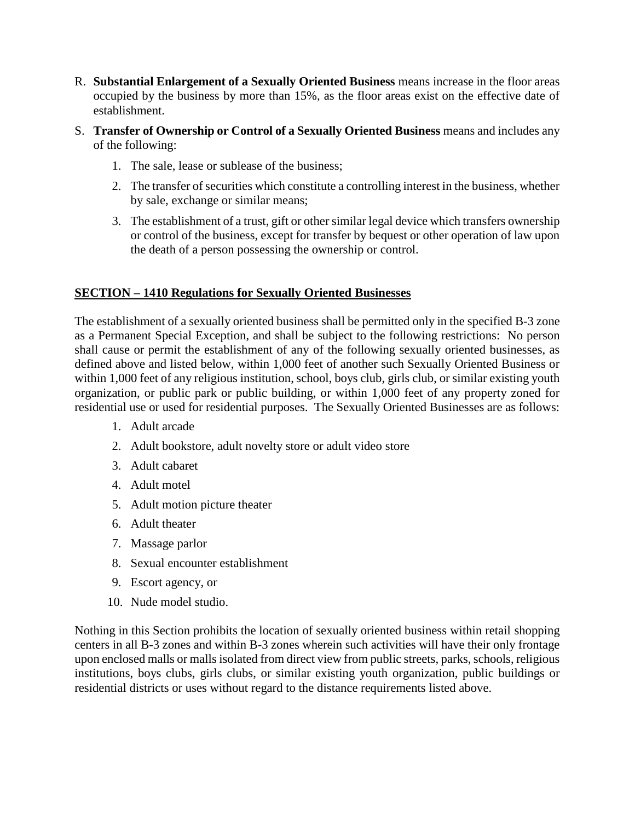- R. **Substantial Enlargement of a Sexually Oriented Business** means increase in the floor areas occupied by the business by more than 15%, as the floor areas exist on the effective date of establishment.
- S. **Transfer of Ownership or Control of a Sexually Oriented Business** means and includes any of the following:
	- 1. The sale, lease or sublease of the business;
	- 2. The transfer of securities which constitute a controlling interest in the business, whether by sale, exchange or similar means;
	- 3. The establishment of a trust, gift or other similar legal device which transfers ownership or control of the business, except for transfer by bequest or other operation of law upon the death of a person possessing the ownership or control.

### **SECTION – 1410 Regulations for Sexually Oriented Businesses**

The establishment of a sexually oriented business shall be permitted only in the specified B-3 zone as a Permanent Special Exception, and shall be subject to the following restrictions: No person shall cause or permit the establishment of any of the following sexually oriented businesses, as defined above and listed below, within 1,000 feet of another such Sexually Oriented Business or within 1,000 feet of any religious institution, school, boys club, girls club, or similar existing youth organization, or public park or public building, or within 1,000 feet of any property zoned for residential use or used for residential purposes. The Sexually Oriented Businesses are as follows:

- 1. Adult arcade
- 2. Adult bookstore, adult novelty store or adult video store
- 3. Adult cabaret
- 4. Adult motel
- 5. Adult motion picture theater
- 6. Adult theater
- 7. Massage parlor
- 8. Sexual encounter establishment
- 9. Escort agency, or
- 10. Nude model studio.

Nothing in this Section prohibits the location of sexually oriented business within retail shopping centers in all B-3 zones and within B-3 zones wherein such activities will have their only frontage upon enclosed malls or malls isolated from direct view from public streets, parks, schools, religious institutions, boys clubs, girls clubs, or similar existing youth organization, public buildings or residential districts or uses without regard to the distance requirements listed above.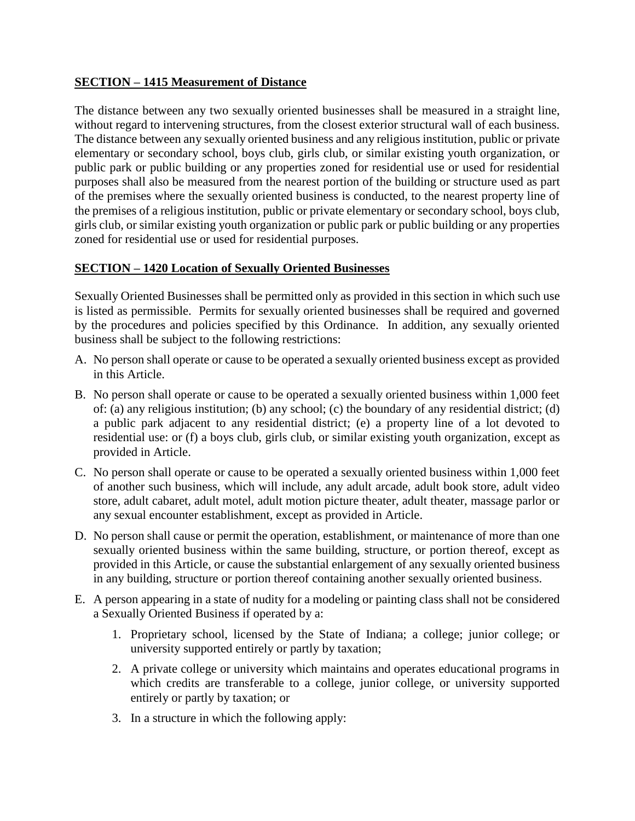### **SECTION – 1415 Measurement of Distance**

The distance between any two sexually oriented businesses shall be measured in a straight line, without regard to intervening structures, from the closest exterior structural wall of each business. The distance between any sexually oriented business and any religious institution, public or private elementary or secondary school, boys club, girls club, or similar existing youth organization, or public park or public building or any properties zoned for residential use or used for residential purposes shall also be measured from the nearest portion of the building or structure used as part of the premises where the sexually oriented business is conducted, to the nearest property line of the premises of a religious institution, public or private elementary or secondary school, boys club, girls club, or similar existing youth organization or public park or public building or any properties zoned for residential use or used for residential purposes.

## **SECTION – 1420 Location of Sexually Oriented Businesses**

Sexually Oriented Businesses shall be permitted only as provided in this section in which such use is listed as permissible. Permits for sexually oriented businesses shall be required and governed by the procedures and policies specified by this Ordinance. In addition, any sexually oriented business shall be subject to the following restrictions:

- A. No person shall operate or cause to be operated a sexually oriented business except as provided in this Article.
- B. No person shall operate or cause to be operated a sexually oriented business within 1,000 feet of: (a) any religious institution; (b) any school; (c) the boundary of any residential district; (d) a public park adjacent to any residential district; (e) a property line of a lot devoted to residential use: or (f) a boys club, girls club, or similar existing youth organization, except as provided in Article.
- C. No person shall operate or cause to be operated a sexually oriented business within 1,000 feet of another such business, which will include, any adult arcade, adult book store, adult video store, adult cabaret, adult motel, adult motion picture theater, adult theater, massage parlor or any sexual encounter establishment, except as provided in Article.
- D. No person shall cause or permit the operation, establishment, or maintenance of more than one sexually oriented business within the same building, structure, or portion thereof, except as provided in this Article, or cause the substantial enlargement of any sexually oriented business in any building, structure or portion thereof containing another sexually oriented business.
- E. A person appearing in a state of nudity for a modeling or painting class shall not be considered a Sexually Oriented Business if operated by a:
	- 1. Proprietary school, licensed by the State of Indiana; a college; junior college; or university supported entirely or partly by taxation;
	- 2. A private college or university which maintains and operates educational programs in which credits are transferable to a college, junior college, or university supported entirely or partly by taxation; or
	- 3. In a structure in which the following apply: